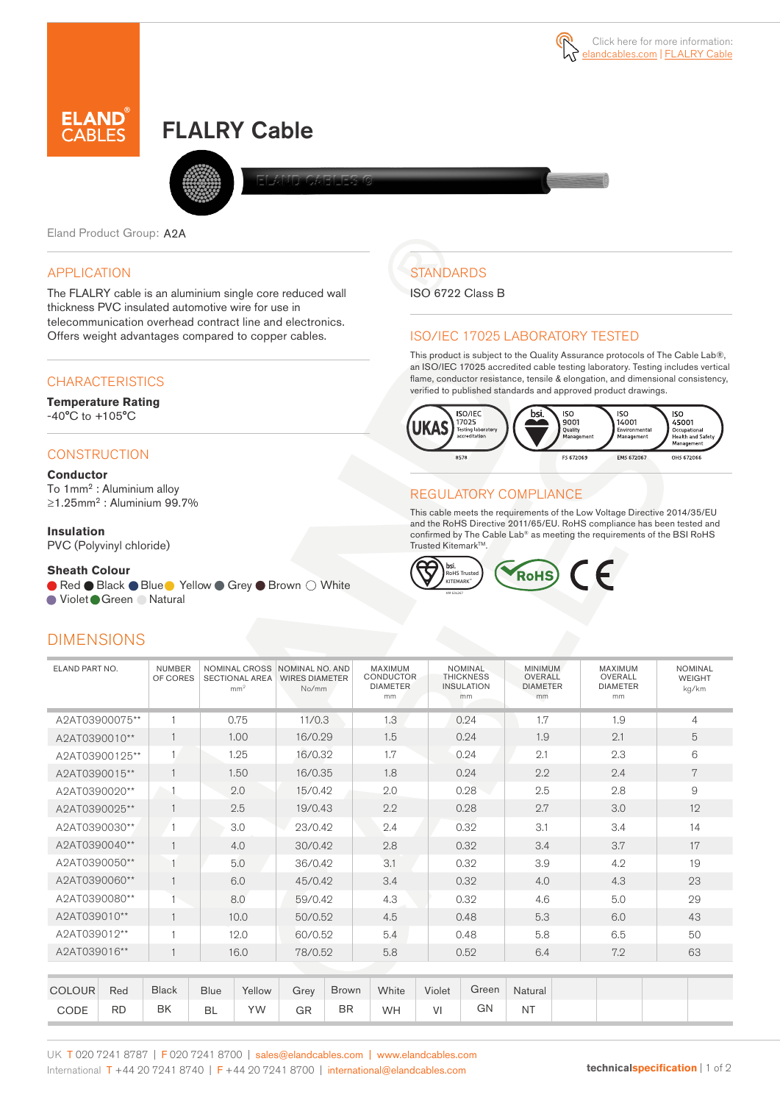

# FLALRY Cable



Eland Product Group: A2A

# APPLICATION

The FLALRY cable is an aluminium single core reduced wall thickness PVC insulated automotive wire for use in telecommunication overhead contract line and electronics. Offers weight advantages compared to copper cables.

# **CHARACTERISTICS**

**Temperature Rating**  -40°C to +105°C

# **CONSTRUCTION**

#### **Conductor**

To 1mm<sup>2</sup> : Aluminium alloy ≥1.25mm<sup>2</sup> : Aluminium 99.7%

#### **Insulation**

PVC (Polyvinyl chloride)

#### **Sheath Colour**

● Red ● Black ● Blue ● Yellow ● Grey ● Brown ○ White

● Violet Green ● Natural

# **DIMENSIONS**



### ISO/IEC 17025 LABORATORY TESTED

This product is subject to the Quality Assurance protocols of The Cable Lab®, an ISO/IEC 17025 accredited cable testing laboratory. Testing includes vertical flame, conductor resistance, tensile & elongation, and dimensional consistency, verified to published standards and approved product drawings.



## REGULATORY COMPLIANCE

This cable meets the requirements of the Low Voltage Directive 2014/35/EU and the RoHS Directive 2011/65/EU. RoHS compliance has been tested and confirmed by The Cable Lab® as meeting the requirements of the BSI RoHS Trusted KitemarkTM.



| ELAND PART NO.                 |                                | <b>NUMBER</b><br>OF CORES |             | <b>SECTIONAL AREA</b><br>mm <sup>2</sup> | NOMINAL CROSS NOMINAL NO. AND<br><b>WIRES DIAMETER</b><br>No/mm |              | MAXIMUM<br><b>CONDUCTOR</b><br><b>DIAMETER</b><br>mm |        | <b>NOMINAL</b><br><b>THICKNESS</b><br><b>INSULATION</b><br>mm | <b>MINIMUM</b><br>OVERALL<br><b>DIAMETER</b><br>mm |  | <b>MAXIMUM</b><br>OVERALL<br><b>DIAMETER</b><br>mm | <b>NOMINAL</b><br><b>WEIGHT</b><br>kg/km |
|--------------------------------|--------------------------------|---------------------------|-------------|------------------------------------------|-----------------------------------------------------------------|--------------|------------------------------------------------------|--------|---------------------------------------------------------------|----------------------------------------------------|--|----------------------------------------------------|------------------------------------------|
|                                | $\mathbf{1}$<br>A2AT03900075** |                           | 0.75        |                                          | 11/0.3                                                          |              | 1.3                                                  |        | 0.24                                                          | 1.7                                                |  | 1.9                                                | $\overline{4}$                           |
| $\mathbf{1}$<br>A2AT0390010**  |                                |                           | 1.00        |                                          | 16/0.29                                                         |              | 1.5                                                  | 0.24   |                                                               | 1.9                                                |  | 2.1                                                | 5                                        |
| $\mathbf{1}$<br>A2AT03900125** |                                |                           | 1.25        |                                          | 16/0.32                                                         |              | 1.7                                                  | 0.24   |                                                               | 2.1                                                |  | 2.3                                                | 6                                        |
| 1<br>A2AT0390015**             |                                |                           | 1.50        |                                          | 16/0.35                                                         |              | 1.8                                                  |        | 0.24                                                          | 2.2                                                |  | 2.4                                                | 7                                        |
| A2AT0390020**                  |                                |                           | 2.0         |                                          | 15/0.42                                                         |              | 2.0                                                  |        | 0.28                                                          | 2.5                                                |  | 2.8                                                | 9                                        |
| A2AT0390025**                  |                                | $\mathbf{1}$              | 2.5         |                                          | 19/0.43                                                         |              | 2.2                                                  |        | 0.28                                                          | 2.7                                                |  | 3.0                                                | 12                                       |
| A2AT0390030**                  |                                |                           | 3.0         |                                          | 23/0.42                                                         |              | 2.4                                                  |        | 0.32                                                          | 3.1                                                |  | 3.4                                                | 14                                       |
| A2AT0390040**                  |                                | $\overline{1}$            | 4.0         |                                          | 30/0.42                                                         |              | 2.8                                                  |        | 0.32                                                          | 3.4                                                |  | 3.7                                                | 17                                       |
| A2AT0390050**                  |                                |                           | 5.0         |                                          | 36/0.42                                                         |              | 3.1                                                  |        | 0.32                                                          | 3.9                                                |  | 4.2                                                | 19                                       |
| A2AT0390060**                  |                                | $\mathbf{1}$              | 6.0         |                                          | 45/0.42                                                         |              | 3.4                                                  |        | 0.32                                                          | 4.0                                                |  | 4.3                                                | 23                                       |
| A2AT0390080**                  |                                |                           | 8.0         |                                          | 59/0.42                                                         |              | 4.3                                                  |        | 0.32                                                          | 4.6                                                |  | 5.0                                                | 29                                       |
| A2AT039010**                   |                                | $\mathbf{1}$              | 10.0        |                                          | 50/0.52                                                         |              | 4.5                                                  |        | 0.48                                                          | 5.3                                                |  | 6.0                                                | 43                                       |
| A2AT039012**                   |                                | $\overline{1}$            | 12.0        |                                          | 60/0.52                                                         |              | 5.4                                                  |        | 0.48                                                          | 5.8                                                |  | 6.5                                                | 50                                       |
| A2AT039016**                   |                                |                           | 16.0        |                                          | 78/0.52                                                         |              | 5.8                                                  |        | 0.52                                                          | 6.4                                                |  | 7.2                                                | 63                                       |
|                                |                                |                           |             |                                          |                                                                 |              |                                                      |        |                                                               |                                                    |  |                                                    |                                          |
| <b>COLOUR</b>                  | Red                            | <b>Black</b>              | <b>Blue</b> | Yellow                                   | Grey                                                            | <b>Brown</b> | White                                                | Violet | Green                                                         | Natural                                            |  |                                                    |                                          |
| CODE                           | <b>RD</b>                      | BK                        | <b>BL</b>   | <b>YW</b>                                | GR                                                              | <b>BR</b>    | <b>WH</b>                                            | VI     | GN                                                            | <b>NT</b>                                          |  |                                                    |                                          |